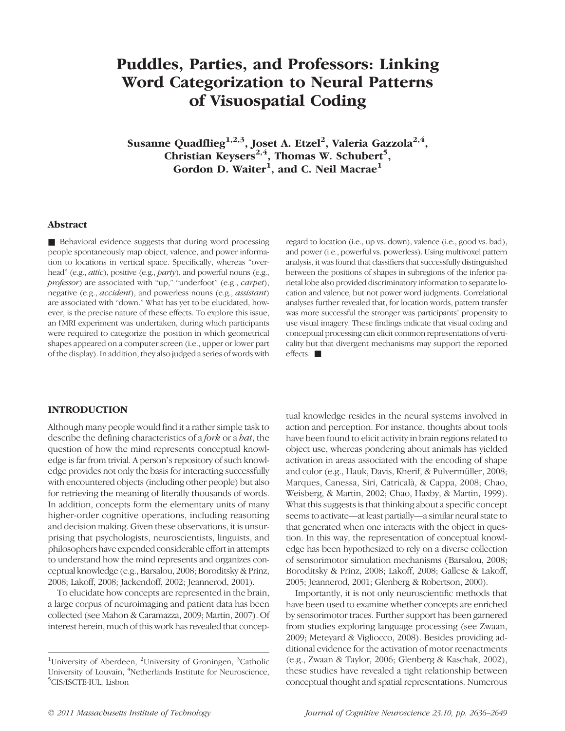# Puddles, Parties, and Professors: Linking Word Categorization to Neural Patterns of Visuospatial Coding

Susanne Quadflieg $^{1,2,3}$ , Joset A. Etzel<sup>2</sup>, Valeria Gazzola<sup>2,4</sup>, Christian Keysers<sup>2,4</sup>, Thomas W. Schubert<sup>5</sup>, Gordon D. Waiter $^1$ , and C. Neil Macrae $^1$ 

## Abstract

■ Behavioral evidence suggests that during word processing people spontaneously map object, valence, and power information to locations in vertical space. Specifically, whereas "overhead" (e.g., *attic*), positive (e.g., *party*), and powerful nouns (e.g., professor) are associated with "up," "underfoot" (e.g., carpet), negative (e.g., accident), and powerless nouns (e.g., assistant) are associated with "down." What has yet to be elucidated, however, is the precise nature of these effects. To explore this issue, an fMRI experiment was undertaken, during which participants were required to categorize the position in which geometrical shapes appeared on a computer screen (i.e., upper or lower part of the display). In addition, they also judged a series of words with

regard to location (i.e., up vs. down), valence (i.e., good vs. bad), and power (i.e., powerful vs. powerless). Using multivoxel pattern analysis, it was found that classifiers that successfully distinguished between the positions of shapes in subregions of the inferior parietal lobe also provided discriminatory information to separate location and valence, but not power word judgments. Correlational analyses further revealed that, for location words, pattern transfer was more successful the stronger was participants' propensity to use visual imagery. These findings indicate that visual coding and conceptual processing can elicit common representations of verticality but that divergent mechanisms may support the reported effects. ■

## INTRODUCTION

Although many people would find it a rather simple task to describe the defining characteristics of a *fork* or a *bat*, the question of how the mind represents conceptual knowledge is far from trivial. A person's repository of such knowledge provides not only the basis for interacting successfully with encountered objects (including other people) but also for retrieving the meaning of literally thousands of words. In addition, concepts form the elementary units of many higher-order cognitive operations, including reasoning and decision making. Given these observations, it is unsurprising that psychologists, neuroscientists, linguists, and philosophers have expended considerable effort in attempts to understand how the mind represents and organizes conceptual knowledge (e.g., Barsalou, 2008; Boroditsky & Prinz, 2008; Lakoff, 2008; Jackendoff, 2002; Jeannerod, 2001).

To elucidate how concepts are represented in the brain, a large corpus of neuroimaging and patient data has been collected (see Mahon & Caramazza, 2009; Martin, 2007). Of interest herein, much of this work has revealed that conceptual knowledge resides in the neural systems involved in action and perception. For instance, thoughts about tools have been found to elicit activity in brain regions related to object use, whereas pondering about animals has yielded activation in areas associated with the encoding of shape and color (e.g., Hauk, Davis, Kherif, & Pulvermüller, 2008; Marques, Canessa, Siri, Catricalà, & Cappa, 2008; Chao, Weisberg, & Martin, 2002; Chao, Haxby, & Martin, 1999). What this suggests is that thinking about a specific concept seems to activate—at least partially—a similar neural state to that generated when one interacts with the object in question. In this way, the representation of conceptual knowledge has been hypothesized to rely on a diverse collection of sensorimotor simulation mechanisms (Barsalou, 2008; Boroditsky & Prinz, 2008; Lakoff, 2008; Gallese & Lakoff, 2005; Jeannerod, 2001; Glenberg & Robertson, 2000).

Importantly, it is not only neuroscientific methods that have been used to examine whether concepts are enriched by sensorimotor traces. Further support has been garnered from studies exploring language processing (see Zwaan, 2009; Meteyard & Vigliocco, 2008). Besides providing additional evidence for the activation of motor reenactments (e.g., Zwaan & Taylor, 2006; Glenberg & Kaschak, 2002), these studies have revealed a tight relationship between conceptual thought and spatial representations. Numerous

<sup>&</sup>lt;sup>1</sup>University of Aberdeen, <sup>2</sup>University of Groningen, <sup>3</sup>Catholic University of Louvain, <sup>4</sup>Netherlands Institute for Neuroscience, <sup>5</sup>CIS/ISCTE-IUL, Lisbon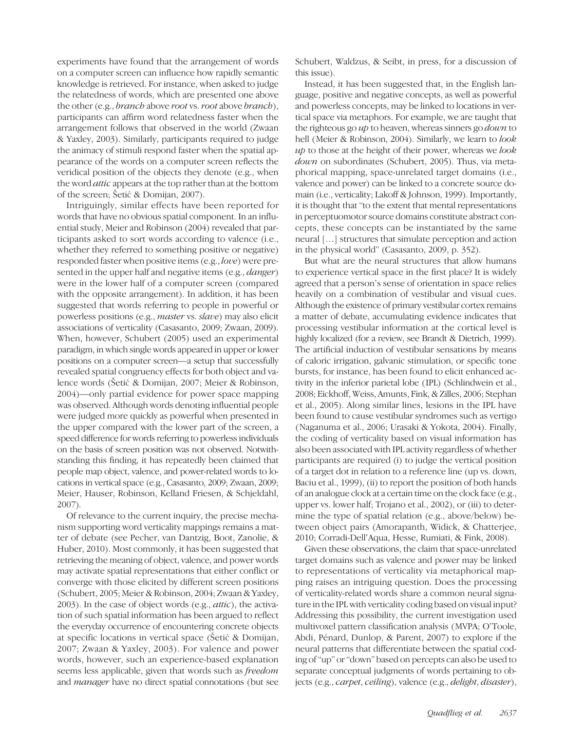experiments have found that the arrangement of words on a computer screen can influence how rapidly semantic knowledge is retrieved. For instance, when asked to judge the relatedness of words, which are presented one above the other (e.g., *branch* above *root* vs. *root* above *branch*), participants can affirm word relatedness faster when the arrangement follows that observed in the world (Zwaan & Yaxley, 2003). Similarly, participants required to judge the animacy of stimuli respond faster when the spatial appearance of the words on a computer screen reflects the veridical position of the objects they denote (e.g., when the word attic appears at the top rather than at the bottom of the screen; Šetić & Domijan, 2007).

Intriguingly, similar effects have been reported for words that have no obvious spatial component. In an influential study, Meier and Robinson (2004) revealed that participants asked to sort words according to valence (i.e., whether they referred to something positive or negative) responded faster when positive items (e.g., love) were presented in the upper half and negative items (e.g., *danger*) were in the lower half of a computer screen (compared with the opposite arrangement). In addition, it has been suggested that words referring to people in powerful or powerless positions (e.g., master vs. slave) may also elicit associations of verticality (Casasanto, 2009; Zwaan, 2009). When, however, Schubert (2005) used an experimental paradigm, in which single words appeared in upper or lower positions on a computer screen—a setup that successfully revealed spatial congruency effects for both object and valence words (Šetić & Domijan, 2007; Meier & Robinson, 2004)—only partial evidence for power space mapping was observed. Although words denoting influential people were judged more quickly as powerful when presented in the upper compared with the lower part of the screen, a speed difference for words referring to powerless individuals on the basis of screen position was not observed. Notwithstanding this finding, it has repeatedly been claimed that people map object, valence, and power-related words to locations in vertical space (e.g., Casasanto, 2009; Zwaan, 2009; Meier, Hauser, Robinson, Kelland Friesen, & Schjeldahl, 2007).

Of relevance to the current inquiry, the precise mechanism supporting word verticality mappings remains a matter of debate (see Pecher, van Dantzig, Boot, Zanolie, & Huber, 2010). Most commonly, it has been suggested that retrieving the meaning of object, valence, and power words may activate spatial representations that either conflict or converge with those elicited by different screen positions (Schubert, 2005; Meier & Robinson, 2004; Zwaan & Yaxley, 2003). In the case of object words (e.g., attic), the activation of such spatial information has been argued to reflect the everyday occurrence of encountering concrete objects at specific locations in vertical space (Šetić & Domijan, 2007; Zwaan & Yaxley, 2003). For valence and power words, however, such an experience-based explanation seems less applicable, given that words such as freedom and manager have no direct spatial connotations (but see

Schubert, Waldzus, & Seibt, in press, for a discussion of this issue).

Instead, it has been suggested that, in the English language, positive and negative concepts, as well as powerful and powerless concepts, may be linked to locations in vertical space via metaphors. For example, we are taught that the righteous go up to heaven, whereas sinners go *down* to hell (Meier & Robinson, 2004). Similarly, we learn to *look*  $\mu$  to those at the height of their power, whereas we *look* down on subordinates (Schubert, 2005). Thus, via metaphorical mapping, space-unrelated target domains (i.e., valence and power) can be linked to a concrete source domain (i.e., verticality; Lakoff & Johnson, 1999). Importantly, it is thought that "to the extent that mental representations in perceptuomotor source domains constitute abstract concepts, these concepts can be instantiated by the same neural […] structures that simulate perception and action in the physical world" (Casasanto, 2009, p. 352).

But what are the neural structures that allow humans to experience vertical space in the first place? It is widely agreed that a person's sense of orientation in space relies heavily on a combination of vestibular and visual cues. Although the existence of primary vestibular cortex remains a matter of debate, accumulating evidence indicates that processing vestibular information at the cortical level is highly localized (for a review, see Brandt & Dietrich, 1999). The artificial induction of vestibular sensations by means of caloric irrigation, galvanic stimulation, or specific tone bursts, for instance, has been found to elicit enhanced activity in the inferior parietal lobe (IPL) (Schlindwein et al., 2008; Eickhoff, Weiss, Amunts, Fink, & Zilles, 2006; Stephan et al., 2005). Along similar lines, lesions in the IPL have been found to cause vestibular syndromes such as vertigo (Naganuma et al., 2006; Urasaki & Yokota, 2004). Finally, the coding of verticality based on visual information has also been associated with IPL activity regardless of whether participants are required (i) to judge the vertical position of a target dot in relation to a reference line (up vs. down, Baciu et al., 1999), (ii) to report the position of both hands of an analogue clock at a certain time on the clock face (e.g., upper vs. lower half; Trojano et al., 2002), or (iii) to determine the type of spatial relation (e.g., above/below) between object pairs (Amorapanth, Widick, & Chatterjee, 2010; Corradi-Dell'Aqua, Hesse, Rumiati, & Fink, 2008).

Given these observations, the claim that space-unrelated target domains such as valence and power may be linked to representations of verticality via metaphorical mapping raises an intriguing question. Does the processing of verticality-related words share a common neural signature in the IPL with verticality coding based on visual input? Addressing this possibility, the current investigation used multivoxel pattern classification analysis (MVPA; O'Toole, Abdi, Pénard, Dunlop, & Parent, 2007) to explore if the neural patterns that differentiate between the spatial coding of"up" or"down" based on percepts can also be used to separate conceptual judgments of words pertaining to objects (e.g., carpet, ceiling), valence (e.g., delight, disaster),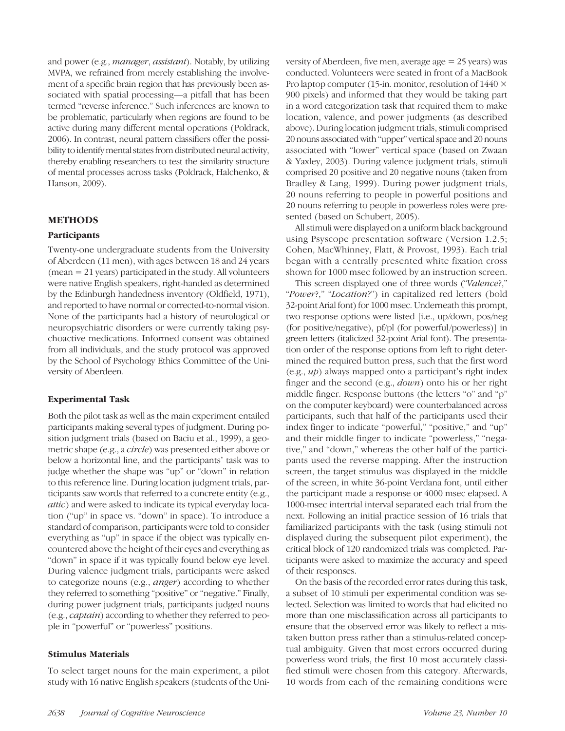and power (e.g., manager, assistant). Notably, by utilizing MVPA, we refrained from merely establishing the involvement of a specific brain region that has previously been associated with spatial processing—a pitfall that has been termed "reverse inference." Such inferences are known to be problematic, particularly when regions are found to be active during many different mental operations (Poldrack, 2006). In contrast, neural pattern classifiers offer the possibility to identify mental states from distributed neural activity, thereby enabling researchers to test the similarity structure of mental processes across tasks (Poldrack, Halchenko, & Hanson, 2009).

# METHODS

## Participants

Twenty-one undergraduate students from the University of Aberdeen (11 men), with ages between 18 and 24 years  $(mean = 21 years)$  participated in the study. All volunteers were native English speakers, right-handed as determined by the Edinburgh handedness inventory (Oldfield, 1971), and reported to have normal or corrected-to-normal vision. None of the participants had a history of neurological or neuropsychiatric disorders or were currently taking psychoactive medications. Informed consent was obtained from all individuals, and the study protocol was approved by the School of Psychology Ethics Committee of the University of Aberdeen.

# Experimental Task

Both the pilot task as well as the main experiment entailed participants making several types of judgment. During position judgment trials (based on Baciu et al., 1999), a geometric shape (e.g., a circle) was presented either above or below a horizontal line, and the participants' task was to judge whether the shape was "up" or "down" in relation to this reference line. During location judgment trials, participants saw words that referred to a concrete entity (e.g., attic) and were asked to indicate its typical everyday location ("up" in space vs. "down" in space). To introduce a standard of comparison, participants were told to consider everything as "up" in space if the object was typically encountered above the height of their eyes and everything as "down" in space if it was typically found below eye level. During valence judgment trials, participants were asked to categorize nouns (e.g., anger) according to whether they referred to something "positive" or "negative." Finally, during power judgment trials, participants judged nouns (e.g., captain) according to whether they referred to people in "powerful" or "powerless" positions.

## Stimulus Materials

To select target nouns for the main experiment, a pilot study with 16 native English speakers (students of the University of Aberdeen, five men, average age = 25 years) was conducted. Volunteers were seated in front of a MacBook Pro laptop computer (15-in. monitor, resolution of  $1440 \times$ 900 pixels) and informed that they would be taking part in a word categorization task that required them to make location, valence, and power judgments (as described above). During location judgment trials, stimuli comprised 20 nouns associated with "upper" vertical space and 20 nouns associated with "lower" vertical space (based on Zwaan & Yaxley, 2003). During valence judgment trials, stimuli comprised 20 positive and 20 negative nouns (taken from Bradley & Lang, 1999). During power judgment trials, 20 nouns referring to people in powerful positions and 20 nouns referring to people in powerless roles were presented (based on Schubert, 2005).

All stimuli were displayed on a uniform black background using Psyscope presentation software ( Version 1.2.5; Cohen, MacWhinney, Flatt, & Provost, 1993). Each trial began with a centrally presented white fixation cross shown for 1000 msec followed by an instruction screen.

This screen displayed one of three words ("Valence?," "Power?," "Location?") in capitalized red letters (bold 32-point Arial font) for 1000 msec. Underneath this prompt, two response options were listed [i.e., up/down, pos/neg (for positive/negative), pf/pl (for powerful/powerless)] in green letters (italicized 32-point Arial font). The presentation order of the response options from left to right determined the required button press, such that the first word  $(e.g., *up*)$  always mapped onto a participant's right index finger and the second (e.g., down) onto his or her right middle finger. Response buttons (the letters "o" and "p" on the computer keyboard) were counterbalanced across participants, such that half of the participants used their index finger to indicate "powerful," "positive," and "up" and their middle finger to indicate "powerless," "negative," and "down," whereas the other half of the participants used the reverse mapping. After the instruction screen, the target stimulus was displayed in the middle of the screen, in white 36-point Verdana font, until either the participant made a response or 4000 msec elapsed. A 1000-msec intertrial interval separated each trial from the next. Following an initial practice session of 16 trials that familiarized participants with the task (using stimuli not displayed during the subsequent pilot experiment), the critical block of 120 randomized trials was completed. Participants were asked to maximize the accuracy and speed of their responses.

On the basis of the recorded error rates during this task, a subset of 10 stimuli per experimental condition was selected. Selection was limited to words that had elicited no more than one misclassification across all participants to ensure that the observed error was likely to reflect a mistaken button press rather than a stimulus-related conceptual ambiguity. Given that most errors occurred during powerless word trials, the first 10 most accurately classified stimuli were chosen from this category. Afterwards, 10 words from each of the remaining conditions were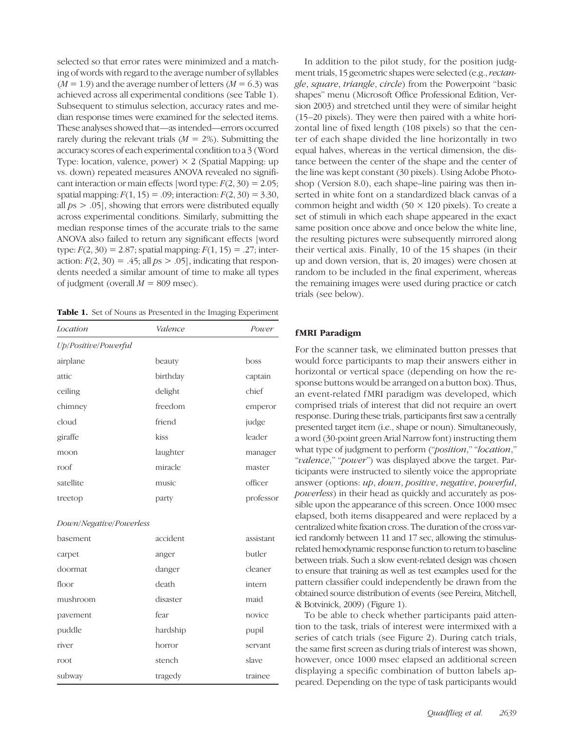selected so that error rates were minimized and a matching of words with regard to the average number of syllables  $(M = 1.9)$  and the average number of letters  $(M = 6.3)$  was achieved across all experimental conditions (see Table 1). Subsequent to stimulus selection, accuracy rates and median response times were examined for the selected items. These analyses showed that—as intended—errors occurred rarely during the relevant trials  $(M = 2\%)$ . Submitting the accuracy scores of each experimental condition to a 3 (Word Type: location, valence, power)  $\times$  2 (Spatial Mapping: up vs. down) repeated measures ANOVA revealed no significant interaction or main effects [word type:  $F(2, 30) = 2.05$ ; spatial mapping:  $F(1, 15) = .09$ ; interaction:  $F(2, 30) = 3.30$ , all  $ps > .05$ ], showing that errors were distributed equally across experimental conditions. Similarly, submitting the median response times of the accurate trials to the same ANOVA also failed to return any significant effects [word type:  $F(2, 30) = 2.87$ ; spatial mapping:  $F(1, 15) = .27$ ; interaction:  $F(2, 30) = .45$ ; all  $ps > .05$ ], indicating that respondents needed a similar amount of time to make all types of judgment (overall  $M = 809$  msec).

Table 1. Set of Nouns as Presented in the Imaging Experiment

| Location                | Valence  | Power     |
|-------------------------|----------|-----------|
| Up/Positive/Powerful    |          |           |
| airplane                | beauty   | boss      |
| attic                   | birthday | captain   |
| ceiling                 | delight  | chief     |
| chimney                 | freedom  | emperor   |
| cloud                   | friend   | judge     |
| giraffe                 | kiss     | leader    |
| moon                    | laughter | manager   |
| roof                    | miracle  | master    |
| satellite               | music    | officer   |
| treetop                 | party    | professor |
|                         |          |           |
| Down/Negative/Powerless |          |           |
| basement                | accident | assistant |
| carpet                  | anger    | butler    |
| doormat                 | danger   | cleaner   |
| floor                   | death    | intern    |
| mushroom                | disaster | maid      |
| pavement                | fear     | novice    |
| puddle                  | hardship | pupil     |
| river                   | horror   | servant   |
| root                    | stench   | slave     |
| subway                  | tragedy  | trainee   |

In addition to the pilot study, for the position judgment trials, 15 geometric shapes were selected (e.g., rectangle, square, triangle, circle) from the Powerpoint "basic shapes" menu (Microsoft Office Professional Edition, Version 2003) and stretched until they were of similar height (15–20 pixels). They were then paired with a white horizontal line of fixed length (108 pixels) so that the center of each shape divided the line horizontally in two equal halves, whereas in the vertical dimension, the distance between the center of the shape and the center of the line was kept constant (30 pixels). Using Adobe Photoshop ( Version 8.0), each shape–line pairing was then inserted in white font on a standardized black canvas of a common height and width  $(50 \times 120)$  pixels). To create a set of stimuli in which each shape appeared in the exact same position once above and once below the white line, the resulting pictures were subsequently mirrored along their vertical axis. Finally, 10 of the 15 shapes (in their up and down version, that is, 20 images) were chosen at random to be included in the final experiment, whereas the remaining images were used during practice or catch trials (see below).

# fMRI Paradigm

For the scanner task, we eliminated button presses that would force participants to map their answers either in horizontal or vertical space (depending on how the response buttons would be arranged on a button box). Thus, an event-related fMRI paradigm was developed, which comprised trials of interest that did not require an overt response. During these trials, participants first saw a centrally presented target item (i.e., shape or noun). Simultaneously, a word (30-point green Arial Narrow font) instructing them what type of judgment to perform ("position," "location," "valence," "power") was displayed above the target. Participants were instructed to silently voice the appropriate answer (options: up, down, positive, negative, powerful, powerless) in their head as quickly and accurately as possible upon the appearance of this screen. Once 1000 msec elapsed, both items disappeared and were replaced by a centralized white fixation cross. The duration of the cross varied randomly between 11 and 17 sec, allowing the stimulusrelated hemodynamic response function to return to baseline between trials. Such a slow event-related design was chosen to ensure that training as well as test examples used for the pattern classifier could independently be drawn from the obtained source distribution of events (see Pereira, Mitchell, & Botvinick, 2009) (Figure 1).

To be able to check whether participants paid attention to the task, trials of interest were intermixed with a series of catch trials (see Figure 2). During catch trials, the same first screen as during trials of interest was shown, however, once 1000 msec elapsed an additional screen displaying a specific combination of button labels appeared. Depending on the type of task participants would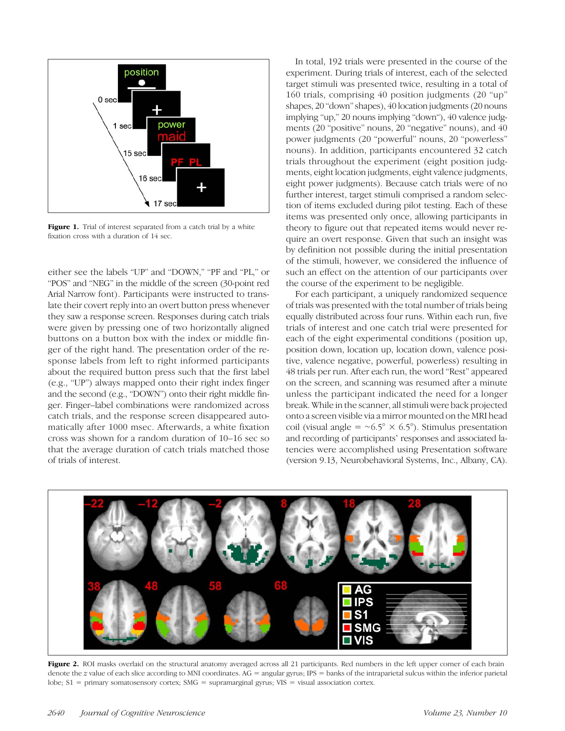

Figure 1. Trial of interest separated from a catch trial by a white fixation cross with a duration of 14 sec.

either see the labels "UP" and "DOWN," "PF and "PL," or "POS" and "NEG" in the middle of the screen (30-point red Arial Narrow font). Participants were instructed to translate their covert reply into an overt button press whenever they saw a response screen. Responses during catch trials were given by pressing one of two horizontally aligned buttons on a button box with the index or middle finger of the right hand. The presentation order of the response labels from left to right informed participants about the required button press such that the first label (e.g., "UP") always mapped onto their right index finger and the second (e.g., "DOWN") onto their right middle finger. Finger–label combinations were randomized across catch trials, and the response screen disappeared automatically after 1000 msec. Afterwards, a white fixation cross was shown for a random duration of 10–16 sec so that the average duration of catch trials matched those of trials of interest.

In total, 192 trials were presented in the course of the experiment. During trials of interest, each of the selected target stimuli was presented twice, resulting in a total of 160 trials, comprising 40 position judgments (20 "up" shapes, 20 "down"shapes), 40 location judgments (20 nouns implying "up," 20 nouns implying "down"), 40 valence judgments (20 "positive" nouns, 20 "negative" nouns), and 40 power judgments (20 "powerful" nouns, 20 "powerless" nouns). In addition, participants encountered 32 catch trials throughout the experiment (eight position judgments, eight location judgments, eight valence judgments, eight power judgments). Because catch trials were of no further interest, target stimuli comprised a random selection of items excluded during pilot testing. Each of these items was presented only once, allowing participants in theory to figure out that repeated items would never require an overt response. Given that such an insight was by definition not possible during the initial presentation of the stimuli, however, we considered the influence of such an effect on the attention of our participants over the course of the experiment to be negligible.

For each participant, a uniquely randomized sequence of trials was presented with the total number of trials being equally distributed across four runs. Within each run, five trials of interest and one catch trial were presented for each of the eight experimental conditions (position up, position down, location up, location down, valence positive, valence negative, powerful, powerless) resulting in 48 trials per run. After each run, the word "Rest" appeared on the screen, and scanning was resumed after a minute unless the participant indicated the need for a longer break. While in the scanner, all stimuli were back projected onto a screen visible via a mirror mounted on the MRI head coil (visual angle =  $~\sim 6.5^\circ \times 6.5^\circ$ ). Stimulus presentation and recording of participants' responses and associated latencies were accomplished using Presentation software (version 9.13, Neurobehavioral Systems, Inc., Albany, CA).



Figure 2. ROI masks overlaid on the structural anatomy averaged across all 21 participants. Red numbers in the left upper corner of each brain denote the z value of each slice according to MNI coordinates. AG = angular gyrus; IPS = banks of the intraparietal sulcus within the inferior parietal lobe;  $S1$  = primary somatosensory cortex;  $SMG =$  supramarginal gyrus;  $VIS =$  visual association cortex.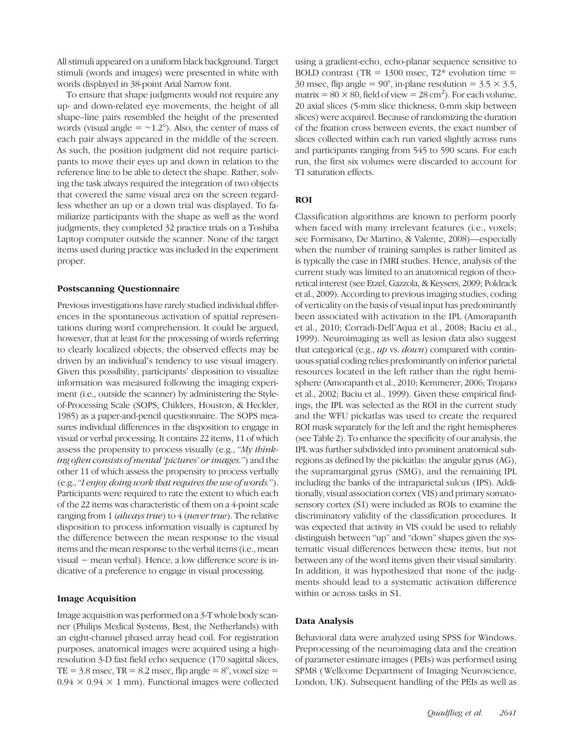All stimuli appeared on a uniform black background. Target stimuli (words and images) were presented in white with words displayed in 38-point Arial Narrow font.

To ensure that shape judgments would not require any up- and down-related eye movements, the height of all shape–line pairs resembled the height of the presented words (visual angle =  $\sim$ 1.2°). Also, the center of mass of each pair always appeared in the middle of the screen. As such, the position judgment did not require participants to move their eyes up and down in relation to the reference line to be able to detect the shape. Rather, solving the task always required the integration of two objects that covered the same visual area on the screen regardless whether an up or a down trial was displayed. To familiarize participants with the shape as well as the word judgments, they completed 32 practice trials on a Toshiba Laptop computer outside the scanner. None of the target items used during practice was included in the experiment proper.

## Postscanning Questionnaire

Previous investigations have rarely studied individual differences in the spontaneous activation of spatial representations during word comprehension. It could be argued, however, that at least for the processing of words referring to clearly localized objects, the observed effects may be driven by an individual's tendency to use visual imagery. Given this possibility, participants' disposition to visualize information was measured following the imaging experiment (i.e., outside the scanner) by administering the Styleof-Processing Scale (SOPS, Childers, Houston, & Heckler, 1985) as a paper-and-pencil questionnaire. The SOPS measures individual differences in the disposition to engage in visual or verbal processing. It contains 22 items, 11 of which assess the propensity to process visually (e.g., "My thinking often consists of mental 'pictures' or images.") and the other 11 of which assess the propensity to process verbally (e.g., "I enjoy doing work that requires the use of words."). Participants were required to rate the extent to which each of the 22 items was characteristic of them on a 4-point scale ranging from 1 (always true) to 4 (never true). The relative disposition to process information visually is captured by the difference between the mean response to the visual items and the mean response to the verbal items (i.e., mean visual − mean verbal). Hence, a low difference score is indicative of a preference to engage in visual processing.

## Image Acquisition

Image acquisition was performed on a 3-T whole body scanner (Philips Medical Systems, Best, the Netherlands) with an eight-channel phased array head coil. For registration purposes, anatomical images were acquired using a highresolution 3-D fast field echo sequence (170 sagittal slices, TE =  $3.8$  msec, TR =  $8.2$  msec, flip angle =  $8^\circ$ , voxel size =  $0.94 \times 0.94 \times 1$  mm). Functional images were collected

using a gradient-echo, echo-planar sequence sensitive to BOLD contrast (TR =  $1300$  msec, T2\* evolution time = 30 msec, flip angle =  $90^{\circ}$ , in-plane resolution =  $3.5 \times 3.5$ , matrix =  $80 \times 80$ , field of view =  $28 \text{ cm}^2$ ). For each volume, 20 axial slices (5-mm slice thickness, 0-mm skip between slices) were acquired. Because of randomizing the duration of the fixation cross between events, the exact number of slices collected within each run varied slightly across runs and participants ranging from 545 to 590 scans. For each run, the first six volumes were discarded to account for T1 saturation effects.

# ROI

Classification algorithms are known to perform poorly when faced with many irrelevant features (i.e., voxels; see Formisano, De Martino, & Valente, 2008)—especially when the number of training samples is rather limited as is typically the case in fMRI studies. Hence, analysis of the current study was limited to an anatomical region of theoretical interest (see Etzel, Gazzola, & Keysers, 2009; Poldrack et al., 2009). According to previous imaging studies, coding of verticality on the basis of visual input has predominantly been associated with activation in the IPL (Amorapanth et al., 2010; Corradi-Dell'Aqua et al., 2008; Baciu et al., 1999). Neuroimaging as well as lesion data also suggest that categorical (e.g., up vs. down) compared with continuous spatial coding relies predominantly on inferior parietal resources located in the left rather than the right hemisphere (Amorapanth et al., 2010; Kemmerer, 2006; Trojano et al., 2002; Baciu et al., 1999). Given these empirical findings, the IPL was selected as the ROI in the current study and the WFU pickatlas was used to create the required ROI mask separately for the left and the right hemispheres (see Table 2). To enhance the specificity of our analysis, the IPL was further subdivided into prominent anatomical subregions as defined by the pickatlas: the angular gyrus (AG), the supramarginal gyrus (SMG), and the remaining IPL including the banks of the intraparietal sulcus (IPS). Additionally, visual association cortex ( VIS) and primary somatosensory cortex (S1) were included as ROIs to examine the discriminatory validity of the classification procedures. It was expected that activity in VIS could be used to reliably distinguish between "up" and "down" shapes given the systematic visual differences between these items, but not between any of the word items given their visual similarity. In addition, it was hypothesized that none of the judgments should lead to a systematic activation difference within or across tasks in S1.

# Data Analysis

Behavioral data were analyzed using SPSS for Windows. Preprocessing of the neuroimaging data and the creation of parameter estimate images (PEIs) was performed using SPM8 (Wellcome Department of Imaging Neuroscience, London, UK). Subsequent handling of the PEIs as well as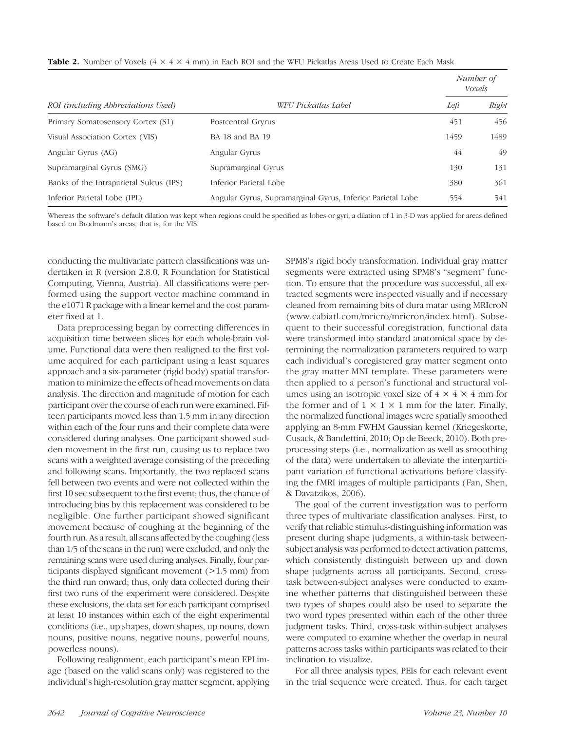|                                         |                                                            | Number of<br>Voxels |       |
|-----------------------------------------|------------------------------------------------------------|---------------------|-------|
| ROI (including Abbreviations Used)      | WFU Pickatlas Label                                        | Left                | Right |
| Primary Somatosensory Cortex (S1)       | Postcentral Gryrus                                         | 451                 | 456   |
| Visual Association Cortex (VIS)         | BA 18 and BA 19                                            | 1459                | 1489  |
| Angular Gyrus (AG)                      | Angular Gyrus                                              | 44                  | 49    |
| Supramarginal Gyrus (SMG)               | Supramarginal Gyrus                                        | 130                 | 131   |
| Banks of the Intraparietal Sulcus (IPS) | Inferior Parietal Lobe                                     | 380                 | 361   |
| Inferior Parietal Lobe (IPL)            | Angular Gyrus, Supramarginal Gyrus, Inferior Parietal Lobe | 554                 | 541   |

Whereas the software's default dilation was kept when regions could be specified as lobes or gyri, a dilation of 1 in 3-D was applied for areas defined based on Brodmann's areas, that is, for the VIS.

conducting the multivariate pattern classifications was undertaken in R (version 2.8.0, R Foundation for Statistical Computing, Vienna, Austria). All classifications were performed using the support vector machine command in the e1071 R package with a linear kernel and the cost parameter fixed at 1.

Data preprocessing began by correcting differences in acquisition time between slices for each whole-brain volume. Functional data were then realigned to the first volume acquired for each participant using a least squares approach and a six-parameter (rigid body) spatial transformation to minimize the effects of head movements on data analysis. The direction and magnitude of motion for each participant over the course of each run were examined. Fifteen participants moved less than 1.5 mm in any direction within each of the four runs and their complete data were considered during analyses. One participant showed sudden movement in the first run, causing us to replace two scans with a weighted average consisting of the preceding and following scans. Importantly, the two replaced scans fell between two events and were not collected within the first 10 sec subsequent to the first event; thus, the chance of introducing bias by this replacement was considered to be negligible. One further participant showed significant movement because of coughing at the beginning of the fourth run. As a result, all scans affected by the coughing (less than 1/5 of the scans in the run) were excluded, and only the remaining scans were used during analyses. Finally, four participants displayed significant movement (>1.5 mm) from the third run onward; thus, only data collected during their first two runs of the experiment were considered. Despite these exclusions, the data set for each participant comprised at least 10 instances within each of the eight experimental conditions (i.e., up shapes, down shapes, up nouns, down nouns, positive nouns, negative nouns, powerful nouns, powerless nouns).

Following realignment, each participant's mean EPI image (based on the valid scans only) was registered to the individual's high-resolution gray matter segment, applying

SPM8's rigid body transformation. Individual gray matter segments were extracted using SPM8's "segment" function. To ensure that the procedure was successful, all extracted segments were inspected visually and if necessary cleaned from remaining bits of dura matar using MRIcroN (www.cabiatl.com/mricro/mricron/index.html). Subsequent to their successful coregistration, functional data were transformed into standard anatomical space by determining the normalization parameters required to warp each individual's coregistered gray matter segment onto the gray matter MNI template. These parameters were then applied to a person's functional and structural volumes using an isotropic voxel size of  $4 \times 4 \times 4$  mm for the former and of  $1 \times 1 \times 1$  mm for the later. Finally, the normalized functional images were spatially smoothed applying an 8-mm FWHM Gaussian kernel (Kriegeskorte, Cusack, & Bandettini, 2010; Op de Beeck, 2010). Both preprocessing steps (i.e., normalization as well as smoothing of the data) were undertaken to alleviate the interparticipant variation of functional activations before classifying the fMRI images of multiple participants (Fan, Shen, & Davatzikos, 2006).

The goal of the current investigation was to perform three types of multivariate classification analyses. First, to verify that reliable stimulus-distinguishing information was present during shape judgments, a within-task betweensubject analysis was performed to detect activation patterns, which consistently distinguish between up and down shape judgments across all participants. Second, crosstask between-subject analyses were conducted to examine whether patterns that distinguished between these two types of shapes could also be used to separate the two word types presented within each of the other three judgment tasks. Third, cross-task within-subject analyses were computed to examine whether the overlap in neural patterns across tasks within participants was related to their inclination to visualize.

For all three analysis types, PEIs for each relevant event in the trial sequence were created. Thus, for each target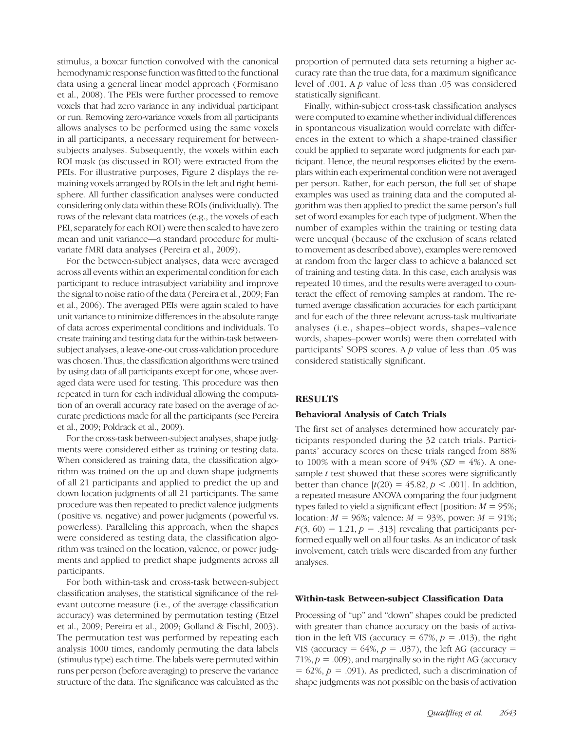stimulus, a boxcar function convolved with the canonical hemodynamic response function was fitted to the functional data using a general linear model approach (Formisano et al., 2008). The PEIs were further processed to remove voxels that had zero variance in any individual participant or run. Removing zero-variance voxels from all participants allows analyses to be performed using the same voxels in all participants, a necessary requirement for betweensubjects analyses. Subsequently, the voxels within each ROI mask (as discussed in ROI) were extracted from the PEIs. For illustrative purposes, Figure 2 displays the remaining voxels arranged by ROIs in the left and right hemisphere. All further classification analyses were conducted considering only data within these ROIs (individually). The rows of the relevant data matrices (e.g., the voxels of each PEI, separately for each ROI) were then scaled to have zero mean and unit variance—a standard procedure for multivariate fMRI data analyses (Pereira et al., 2009).

For the between-subject analyses, data were averaged across all events within an experimental condition for each participant to reduce intrasubject variability and improve the signal to noise ratio of the data (Pereira et al., 2009; Fan et al., 2006). The averaged PEIs were again scaled to have unit variance to minimize differences in the absolute range of data across experimental conditions and individuals. To create training and testing data for the within-task betweensubject analyses, a leave-one-out cross-validation procedure was chosen. Thus, the classification algorithms were trained by using data of all participants except for one, whose averaged data were used for testing. This procedure was then repeated in turn for each individual allowing the computation of an overall accuracy rate based on the average of accurate predictions made for all the participants (see Pereira et al., 2009; Poldrack et al., 2009).

For the cross-task between-subject analyses, shape judgments were considered either as training or testing data. When considered as training data, the classification algorithm was trained on the up and down shape judgments of all 21 participants and applied to predict the up and down location judgments of all 21 participants. The same procedure was then repeated to predict valence judgments (positive vs. negative) and power judgments (powerful vs. powerless). Paralleling this approach, when the shapes were considered as testing data, the classification algorithm was trained on the location, valence, or power judgments and applied to predict shape judgments across all participants.

For both within-task and cross-task between-subject classification analyses, the statistical significance of the relevant outcome measure (i.e., of the average classification accuracy) was determined by permutation testing (Etzel et al., 2009; Pereira et al., 2009; Golland & Fischl, 2003). The permutation test was performed by repeating each analysis 1000 times, randomly permuting the data labels (stimulus type) each time. The labels were permuted within runs per person (before averaging) to preserve the variance structure of the data. The significance was calculated as the proportion of permuted data sets returning a higher accuracy rate than the true data, for a maximum significance level of .001. A p value of less than .05 was considered statistically significant.

Finally, within-subject cross-task classification analyses were computed to examine whether individual differences in spontaneous visualization would correlate with differences in the extent to which a shape-trained classifier could be applied to separate word judgments for each participant. Hence, the neural responses elicited by the exemplars within each experimental condition were not averaged per person. Rather, for each person, the full set of shape examples was used as training data and the computed algorithm was then applied to predict the same person's full set of word examples for each type of judgment. When the number of examples within the training or testing data were unequal (because of the exclusion of scans related to movement as described above), examples were removed at random from the larger class to achieve a balanced set of training and testing data. In this case, each analysis was repeated 10 times, and the results were averaged to counteract the effect of removing samples at random. The returned average classification accuracies for each participant and for each of the three relevant across-task multivariate analyses (i.e., shapes–object words, shapes–valence words, shapes–power words) were then correlated with participants' SOPS scores. A  $p$  value of less than .05 was considered statistically significant.

# **RESULTS**

## Behavioral Analysis of Catch Trials

The first set of analyses determined how accurately participants responded during the 32 catch trials. Participants' accuracy scores on these trials ranged from 88% to 100% with a mean score of 94% ( $SD = 4\%$ ). A onesample  $t$  test showed that these scores were significantly better than chance  $[t(20) = 45.82, p < .001]$ . In addition, a repeated measure ANOVA comparing the four judgment types failed to yield a significant effect [position:  $M = 95\%$ ; location:  $M = 96\%$ ; valence:  $M = 93\%$ , power:  $M = 91\%$ ;  $F(3, 60) = 1.21, p = .313$  revealing that participants performed equally well on all four tasks. As an indicator of task involvement, catch trials were discarded from any further analyses.

#### Within-task Between-subject Classification Data

Processing of "up" and "down" shapes could be predicted with greater than chance accuracy on the basis of activation in the left VIS (accuracy =  $67\%, p = .013$ ), the right VIS (accuracy =  $64\%, p = .037$ ), the left AG (accuracy =  $71\%, p = .009$ ), and marginally so in the right AG (accuracy  $= 62\%, p = .091$ . As predicted, such a discrimination of shape judgments was not possible on the basis of activation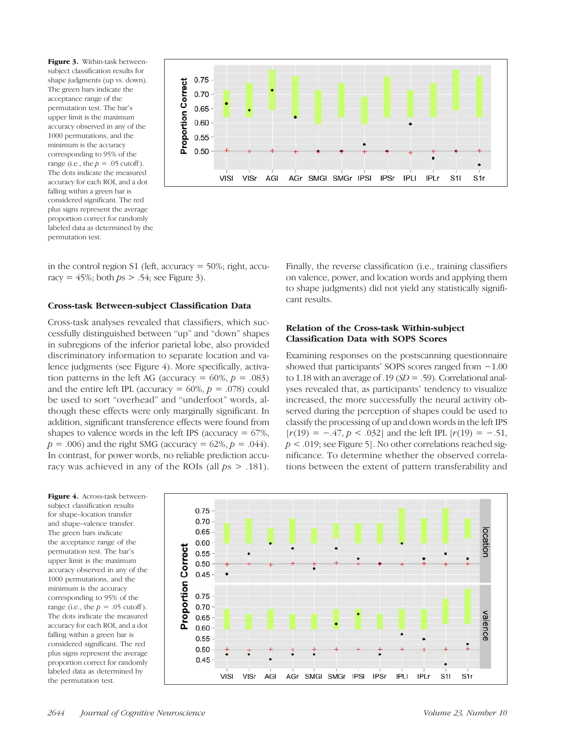Figure 3. Within-task betweensubject classification results for shape judgments (up vs. down). The green bars indicate the acceptance range of the permutation test. The bar's upper limit is the maximum accuracy observed in any of the 1000 permutations, and the minimum is the accuracy corresponding to 95% of the range (i.e., the  $p = .05$  cutoff). The dots indicate the measured accuracy for each ROI, and a dot falling within a green bar is considered significant. The red plus signs represent the average proportion correct for randomly labeled data as determined by the permutation test.



in the control region S1 (left, accuracy = 50%; right, accuracy =  $45\%$ ; both  $ps > .54$ ; see Figure 3).

#### Cross-task Between-subject Classification Data

Cross-task analyses revealed that classifiers, which successfully distinguished between "up" and "down" shapes in subregions of the inferior parietal lobe, also provided discriminatory information to separate location and valence judgments (see Figure 4). More specifically, activation patterns in the left AG (accuracy =  $60\%, p = .083$ ) and the entire left IPL (accuracy =  $60\%, p = .078$ ) could be used to sort "overhead" and "underfoot" words, although these effects were only marginally significant. In addition, significant transference effects were found from shapes to valence words in the left IPS (accuracy  $= 67\%$ ,  $p = .006$ ) and the right SMG (accuracy = 62%,  $p = .044$ ). In contrast, for power words, no reliable prediction accuracy was achieved in any of the ROIs (all  $ps > .181$ ). Finally, the reverse classification (i.e., training classifiers on valence, power, and location words and applying them to shape judgments) did not yield any statistically significant results.

## Relation of the Cross-task Within-subject Classification Data with SOPS Scores

Examining responses on the postscanning questionnaire showed that participants' SOPS scores ranged from −1.00 to 1.18 with an average of .19  $(SD = .59)$ . Correlational analyses revealed that, as participants' tendency to visualize increased, the more successfully the neural activity observed during the perception of shapes could be used to classify the processing of up and down words in the left IPS  $[r(19) = -.47, p < .032]$  and the left IPL  $[r(19) = -.51,$  $p < .019$ ; see Figure 5]. No other correlations reached significance. To determine whether the observed correlations between the extent of pattern transferability and

Figure 4. Across-task betweensubject classification results for shape–location transfer and shape–valence transfer. The green bars indicate the acceptance range of the permutation test. The bar's upper limit is the maximum accuracy observed in any of the 1000 permutations, and the minimum is the accuracy corresponding to 95% of the range (i.e., the  $p = .05$  cutoff). The dots indicate the measured accuracy for each ROI, and a dot falling within a green bar is considered significant. The red plus signs represent the average proportion correct for randomly labeled data as determined by the permutation test.

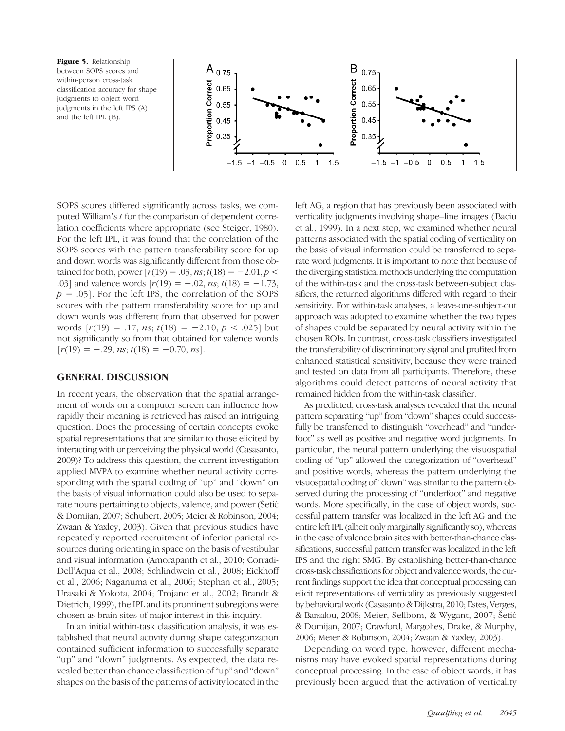Figure 5. Relationship between SOPS scores and within-person cross-task classification accuracy for shape judgments to object word judgments in the left IPS (A) and the left IPL (B).



SOPS scores differed significantly across tasks, we computed William's t for the comparison of dependent correlation coefficients where appropriate (see Steiger, 1980). For the left IPL, it was found that the correlation of the SOPS scores with the pattern transferability score for up and down words was significantly different from those obtained for both, power  $[r(19) = .03, ns; t(18) = -2.01, p <$ .03] and valence words  $[r(19) = -.02, ns; t(18) = -1.73,$  $p = .05$ . For the left IPS, the correlation of the SOPS scores with the pattern transferability score for up and down words was different from that observed for power words  $[r(19) = .17, ns; t(18) = -2.10, p < .025]$  but not significantly so from that obtained for valence words  $[r(19) = -.29, ns; t(18) = -0.70, ns].$ 

#### GENERAL DISCUSSION

In recent years, the observation that the spatial arrangement of words on a computer screen can influence how rapidly their meaning is retrieved has raised an intriguing question. Does the processing of certain concepts evoke spatial representations that are similar to those elicited by interacting with or perceiving the physical world (Casasanto, 2009)? To address this question, the current investigation applied MVPA to examine whether neural activity corresponding with the spatial coding of "up" and "down" on the basis of visual information could also be used to separate nouns pertaining to objects, valence, and power (Šetić & Domijan, 2007; Schubert, 2005; Meier & Robinson, 2004; Zwaan & Yaxley, 2003). Given that previous studies have repeatedly reported recruitment of inferior parietal resources during orienting in space on the basis of vestibular and visual information (Amorapanth et al., 2010; Corradi-Dell'Aqua et al., 2008; Schlindwein et al., 2008; Eickhoff et al., 2006; Naganuma et al., 2006; Stephan et al., 2005; Urasaki & Yokota, 2004; Trojano et al., 2002; Brandt & Dietrich, 1999), the IPL and its prominent subregions were chosen as brain sites of major interest in this inquiry.

In an initial within-task classification analysis, it was established that neural activity during shape categorization contained sufficient information to successfully separate "up" and "down" judgments. As expected, the data revealed better than chance classification of"up" and "down" shapes on the basis of the patterns of activity located in the

left AG, a region that has previously been associated with verticality judgments involving shape–line images (Baciu et al., 1999). In a next step, we examined whether neural patterns associated with the spatial coding of verticality on the basis of visual information could be transferred to separate word judgments. It is important to note that because of the diverging statistical methods underlying the computation of the within-task and the cross-task between-subject classifiers, the returned algorithms differed with regard to their sensitivity. For within-task analyses, a leave-one-subject-out approach was adopted to examine whether the two types of shapes could be separated by neural activity within the chosen ROIs. In contrast, cross-task classifiers investigated the transferability of discriminatory signal and profited from enhanced statistical sensitivity, because they were trained and tested on data from all participants. Therefore, these algorithms could detect patterns of neural activity that remained hidden from the within-task classifier.

As predicted, cross-task analyses revealed that the neural pattern separating "up" from "down" shapes could successfully be transferred to distinguish "overhead" and "underfoot" as well as positive and negative word judgments. In particular, the neural pattern underlying the visuospatial coding of "up" allowed the categorization of "overhead" and positive words, whereas the pattern underlying the visuospatial coding of "down" was similar to the pattern observed during the processing of "underfoot" and negative words. More specifically, in the case of object words, successful pattern transfer was localized in the left AG and the entire left IPL (albeit only marginally significantly so), whereas in the case of valence brain sites with better-than-chance classifications, successful pattern transfer was localized in the left IPS and the right SMG. By establishing better-than-chance cross-task classifications for object and valence words, the current findings support the idea that conceptual processing can elicit representations of verticality as previously suggested by behavioral work (Casasanto & Dijkstra, 2010; Estes, Verges, & Barsalou, 2008; Meier, Sellbom, & Wygant, 2007; Šetić & Domijan, 2007; Crawford, Margolies, Drake, & Murphy, 2006; Meier & Robinson, 2004; Zwaan & Yaxley, 2003).

Depending on word type, however, different mechanisms may have evoked spatial representations during conceptual processing. In the case of object words, it has previously been argued that the activation of verticality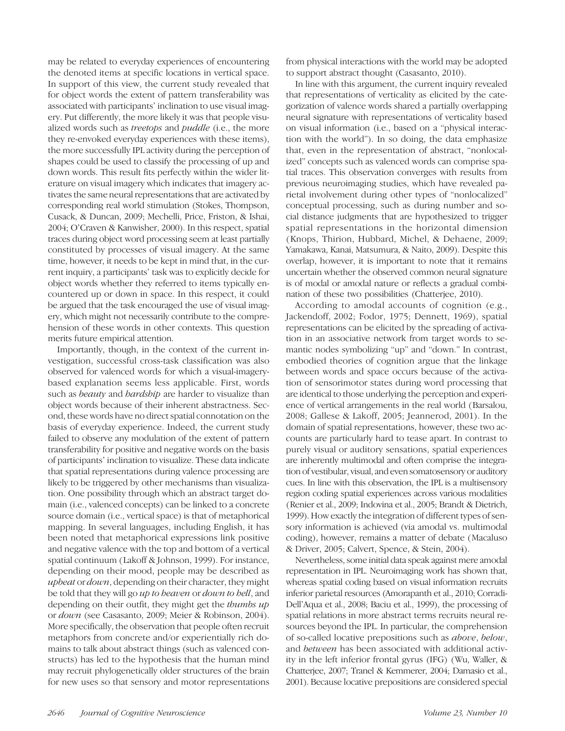may be related to everyday experiences of encountering the denoted items at specific locations in vertical space. In support of this view, the current study revealed that for object words the extent of pattern transferability was associated with participants' inclination to use visual imagery. Put differently, the more likely it was that people visualized words such as treetops and puddle (i.e., the more they re-envoked everyday experiences with these items), the more successfully IPL activity during the perception of shapes could be used to classify the processing of up and down words. This result fits perfectly within the wider literature on visual imagery which indicates that imagery activates the same neural representations that are activated by corresponding real world stimulation (Stokes, Thompson, Cusack, & Duncan, 2009; Mechelli, Price, Friston, & Ishai, 2004; O'Craven & Kanwisher, 2000). In this respect, spatial traces during object word processing seem at least partially constituted by processes of visual imagery. At the same time, however, it needs to be kept in mind that, in the current inquiry, a participants' task was to explicitly decide for object words whether they referred to items typically encountered up or down in space. In this respect, it could be argued that the task encouraged the use of visual imagery, which might not necessarily contribute to the comprehension of these words in other contexts. This question merits future empirical attention.

Importantly, though, in the context of the current investigation, successful cross-task classification was also observed for valenced words for which a visual-imagerybased explanation seems less applicable. First, words such as *beauty* and *hardship* are harder to visualize than object words because of their inherent abstractness. Second, these words have no direct spatial connotation on the basis of everyday experience. Indeed, the current study failed to observe any modulation of the extent of pattern transferability for positive and negative words on the basis of participants' inclination to visualize. These data indicate that spatial representations during valence processing are likely to be triggered by other mechanisms than visualization. One possibility through which an abstract target domain (i.e., valenced concepts) can be linked to a concrete source domain (i.e., vertical space) is that of metaphorical mapping. In several languages, including English, it has been noted that metaphorical expressions link positive and negative valence with the top and bottom of a vertical spatial continuum (Lakoff & Johnson, 1999). For instance, depending on their mood, people may be described as upbeat or down, depending on their character, they might be told that they will go up to heaven or down to hell, and depending on their outfit, they might get the thumbs up or down (see Casasanto, 2009; Meier & Robinson, 2004). More specifically, the observation that people often recruit metaphors from concrete and/or experientially rich domains to talk about abstract things (such as valenced constructs) has led to the hypothesis that the human mind may recruit phylogenetically older structures of the brain for new uses so that sensory and motor representations from physical interactions with the world may be adopted to support abstract thought (Casasanto, 2010).

In line with this argument, the current inquiry revealed that representations of verticality as elicited by the categorization of valence words shared a partially overlapping neural signature with representations of verticality based on visual information (i.e., based on a "physical interaction with the world"). In so doing, the data emphasize that, even in the representation of abstract, "nonlocalized" concepts such as valenced words can comprise spatial traces. This observation converges with results from previous neuroimaging studies, which have revealed parietal involvement during other types of "nonlocalized" conceptual processing, such as during number and social distance judgments that are hypothesized to trigger spatial representations in the horizontal dimension (Knops, Thirion, Hubbard, Michel, & Dehaene, 2009; Yamakawa, Kanai, Matsumura, & Naito, 2009). Despite this overlap, however, it is important to note that it remains uncertain whether the observed common neural signature is of modal or amodal nature or reflects a gradual combination of these two possibilities (Chatterjee, 2010).

According to amodal accounts of cognition (e.g., Jackendoff, 2002; Fodor, 1975; Dennett, 1969), spatial representations can be elicited by the spreading of activation in an associative network from target words to semantic nodes symbolizing "up" and "down." In contrast, embodied theories of cognition argue that the linkage between words and space occurs because of the activation of sensorimotor states during word processing that are identical to those underlying the perception and experience of vertical arrangements in the real world (Barsalou, 2008; Gallese & Lakoff, 2005; Jeannerod, 2001). In the domain of spatial representations, however, these two accounts are particularly hard to tease apart. In contrast to purely visual or auditory sensations, spatial experiences are inherently multimodal and often comprise the integration of vestibular, visual, and even somatosensory or auditory cues. In line with this observation, the IPL is a multisensory region coding spatial experiences across various modalities (Renier et al., 2009; Indovina et al., 2005; Brandt & Dietrich, 1999). Howexactly the integration of different types of sensory information is achieved (via amodal vs. multimodal coding), however, remains a matter of debate (Macaluso & Driver, 2005; Calvert, Spence, & Stein, 2004).

Nevertheless, some initial data speak against mere amodal representation in IPL. Neuroimaging work has shown that, whereas spatial coding based on visual information recruits inferior parietal resources (Amorapanth et al., 2010; Corradi-Dell'Aqua et al., 2008; Baciu et al., 1999), the processing of spatial relations in more abstract terms recruits neural resources beyond the IPL. In particular, the comprehension of so-called locative prepositions such as above, below, and between has been associated with additional activity in the left inferior frontal gyrus (IFG) (Wu, Waller, & Chatterjee, 2007; Tranel & Kemmerer, 2004; Damasio et al., 2001). Because locative prepositions are considered special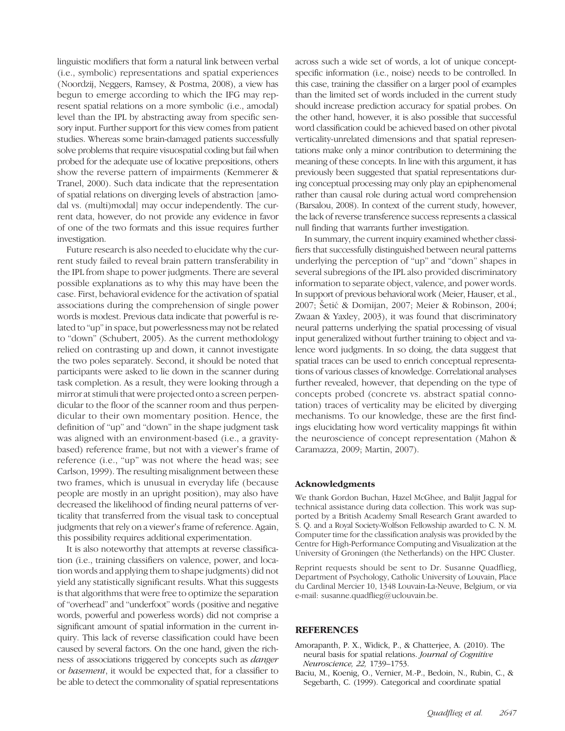linguistic modifiers that form a natural link between verbal (i.e., symbolic) representations and spatial experiences (Noordzij, Neggers, Ramsey, & Postma, 2008), a view has begun to emerge according to which the IFG may represent spatial relations on a more symbolic (i.e., amodal) level than the IPL by abstracting away from specific sensory input. Further support for this view comes from patient studies. Whereas some brain-damaged patients successfully solve problems that require visuospatial coding but fail when probed for the adequate use of locative prepositions, others show the reverse pattern of impairments (Kemmerer & Tranel, 2000). Such data indicate that the representation of spatial relations on diverging levels of abstraction [amodal vs. (multi)modal] may occur independently. The current data, however, do not provide any evidence in favor of one of the two formats and this issue requires further investigation.

Future research is also needed to elucidate why the current study failed to reveal brain pattern transferability in the IPL from shape to power judgments. There are several possible explanations as to why this may have been the case. First, behavioral evidence for the activation of spatial associations during the comprehension of single power words is modest. Previous data indicate that powerful is related to "up"in space, but powerlessness may not be related to "down" (Schubert, 2005). As the current methodology relied on contrasting up and down, it cannot investigate the two poles separately. Second, it should be noted that participants were asked to lie down in the scanner during task completion. As a result, they were looking through a mirror at stimuli that were projected onto a screen perpendicular to the floor of the scanner room and thus perpendicular to their own momentary position. Hence, the definition of "up" and "down" in the shape judgment task was aligned with an environment-based (i.e., a gravitybased) reference frame, but not with a viewer's frame of reference (i.e., "up" was not where the head was; see Carlson, 1999). The resulting misalignment between these two frames, which is unusual in everyday life (because people are mostly in an upright position), may also have decreased the likelihood of finding neural patterns of verticality that transferred from the visual task to conceptual judgments that rely on a viewer's frame of reference. Again, this possibility requires additional experimentation.

It is also noteworthy that attempts at reverse classification (i.e., training classifiers on valence, power, and location words and applying them to shape judgments) did not yield any statistically significant results. What this suggests is that algorithms that were free to optimize the separation of "overhead" and "underfoot" words (positive and negative words, powerful and powerless words) did not comprise a significant amount of spatial information in the current inquiry. This lack of reverse classification could have been caused by several factors. On the one hand, given the richness of associations triggered by concepts such as danger or basement, it would be expected that, for a classifier to be able to detect the commonality of spatial representations

across such a wide set of words, a lot of unique conceptspecific information (i.e., noise) needs to be controlled. In this case, training the classifier on a larger pool of examples than the limited set of words included in the current study should increase prediction accuracy for spatial probes. On the other hand, however, it is also possible that successful word classification could be achieved based on other pivotal verticality-unrelated dimensions and that spatial representations make only a minor contribution to determining the meaning of these concepts. In line with this argument, it has previously been suggested that spatial representations during conceptual processing may only play an epiphenomenal rather than causal role during actual word comprehension (Barsalou, 2008). In context of the current study, however, the lack of reverse transference success represents a classical null finding that warrants further investigation.

In summary, the current inquiry examined whether classifiers that successfully distinguished between neural patterns underlying the perception of "up" and "down" shapes in several subregions of the IPL also provided discriminatory information to separate object, valence, and power words. In support of previous behavioral work (Meier, Hauser, et al., 2007; Šetić & Domijan, 2007; Meier & Robinson, 2004; Zwaan & Yaxley, 2003), it was found that discriminatory neural patterns underlying the spatial processing of visual input generalized without further training to object and valence word judgments. In so doing, the data suggest that spatial traces can be used to enrich conceptual representations of various classes of knowledge. Correlational analyses further revealed, however, that depending on the type of concepts probed (concrete vs. abstract spatial connotation) traces of verticality may be elicited by diverging mechanisms. To our knowledge, these are the first findings elucidating how word verticality mappings fit within the neuroscience of concept representation (Mahon & Caramazza, 2009; Martin, 2007).

#### Acknowledgments

We thank Gordon Buchan, Hazel McGhee, and Baljit Jagpal for technical assistance during data collection. This work was supported by a British Academy Small Research Grant awarded to S. Q. and a Royal Society-Wolfson Fellowship awarded to C. N. M. Computer time for the classification analysis was provided by the Centre for High-Performance Computing and Visualization at the University of Groningen (the Netherlands) on the HPC Cluster.

Reprint requests should be sent to Dr. Susanne Quadflieg, Department of Psychology, Catholic University of Louvain, Place du Cardinal Mercier 10, 1348 Louvain-La-Neuve, Belgium, or via e-mail: susanne.quadflieg@uclouvain.be.

#### REFERENCES

- Amorapanth, P. X., Widick, P., & Chatterjee, A. (2010). The neural basis for spatial relations. Journal of Cognitive Neuroscience, 22, 1739–1753.
- Baciu, M., Koenig, O., Vernier, M.-P., Bedoin, N., Rubin, C., & Segebarth, C. (1999). Categorical and coordinate spatial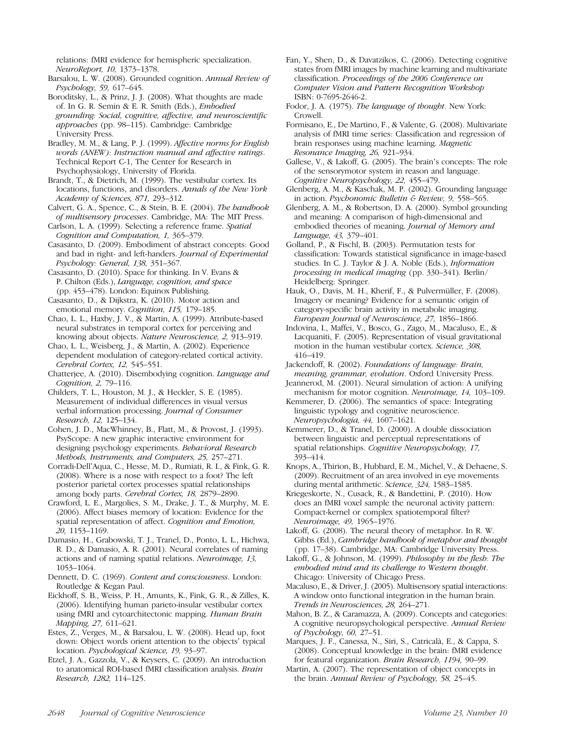relations: fMRI evidence for hemispheric specialization. NeuroReport, 10, 1373–1378.

Barsalou, L. W. (2008). Grounded cognition. Annual Review of Psychology, 59, 617–645.

Boroditsky, L., & Prinz, J. J. (2008). What thoughts are made of. In G. R. Semin & E. R. Smith (Eds.), Embodied grounding: Social, cognitive, affective, and neuroscientific approaches (pp. 98–115). Cambridge: Cambridge University Press.

Bradley, M. M., & Lang, P. J. (1999). Affective norms for English words (ANEW): Instruction manual and affective ratings. Technical Report C-1, The Center for Research in Psychophysiology, University of Florida.

Brandt, T., & Dietrich, M. (1999). The vestibular cortex. Its locations, functions, and disorders. Annals of the New York Academy of Sciences, 871, 293–312.

Calvert, G. A., Spence, C., & Stein, B. E. (2004). The handbook of multisensory processes. Cambridge, MA: The MIT Press.

Carlson, L. A. (1999). Selecting a reference frame. Spatial Cognition and Computation, 1, 365–379.

Casasanto, D. (2009). Embodiment of abstract concepts: Good and bad in right- and left-handers. Journal of Experimental Psychology: General, 138, 351–367.

Casasanto, D. (2010). Space for thinking. In V. Evans & P. Chilton (Eds.), Language, cognition, and space (pp. 453–478). London: Equinox Publishing.

Casasanto, D., & Dijkstra, K. (2010). Motor action and emotional memory. Cognition, 115, 179–185.

Chao, L. L., Haxby, J. V., & Martin, A. (1999). Attribute-based neural substrates in temporal cortex for perceiving and knowing about objects. Nature Neuroscience, 2, 913-919.

Chao, L. L., Weisberg, J., & Martin, A. (2002). Experience dependent modulation of category-related cortical activity. Cerebral Cortex, 12, 545–551.

Chatterjee, A. (2010). Disembodying cognition. Language and Cognition, 2, 79–116.

Childers, T. L., Houston, M. J., & Heckler, S. E. (1985). Measurement of individual differences in visual versus verbal information processing. Journal of Consumer Research, 12, 125–134.

Cohen, J. D., MacWhinney, B., Flatt, M., & Provost, J. (1993). PsyScope: A new graphic interactive environment for designing psychology experiments. Behavioral Research Methods, Instruments, and Computers, 25, 257–271.

Corradi-Dell'Aqua, C., Hesse, M. D., Rumiati, R. I., & Fink, G. R. (2008). Where is a nose with respect to a foot? The left posterior parietal cortex processes spatial relationships among body parts. Cerebral Cortex, 18, 2879–2890.

Crawford, L. E., Margolies, S. M., Drake, J. T., & Murphy, M. E. (2006). Affect biases memory of location: Evidence for the spatial representation of affect. Cognition and Emotion, 20, 1153–1169.

Damasio, H., Grabowski, T. J., Tranel, D., Ponto, L. L., Hichwa, R. D., & Damasio, A. R. (2001). Neural correlates of naming actions and of naming spatial relations. Neuroimage, 13, 1053–1064.

Dennett, D. C. (1969). Content and consciousness. London: Routledge & Kegan Paul.

Eickhoff, S. B., Weiss, P. H., Amunts, K., Fink, G. R., & Zilles, K. (2006). Identifying human parieto-insular vestibular cortex using fMRI and cytoarchitectonic mapping. Human Brain Mapping, 27, 611–621.

Estes, Z., Verges, M., & Barsalou, L. W. (2008). Head up, foot down: Object words orient attention to the objects' typical location. Psychological Science, 19, 93–97.

Etzel, J. A., Gazzola, V., & Keysers, C. (2009). An introduction to anatomical ROI-based fMRI classification analysis. Brain Research, 1282, 114–125.

Fan, Y., Shen, D., & Davatzikos, C. (2006). Detecting cognitive states from fMRI images by machine learning and multivariate classification. Proceedings of the 2006 Conference on Computer Vision and Pattern Recognition Workshop ISBN: 0-7695-2646-2.

Fodor, J. A. (1975). The language of thought. New York: Crowell.

Formisano, E., De Martino, F., & Valente, G. (2008). Multivariate analysis of fMRI time series: Classification and regression of brain responses using machine learning. Magnetic Resonance Imaging, 26, 921–934.

Gallese, V., & Lakoff, G. (2005). The brain's concepts: The role of the sensorymotor system in reason and language. Cognitive Neuropsychology, 22, 455–479.

Glenberg, A. M., & Kaschak, M. P. (2002). Grounding language in action. Psychonomic Bulletin & Review, 9, 558–565.

Glenberg, A. M., & Robertson, D. A. (2000). Symbol grounding and meaning: A comparison of high-dimensional and embodied theories of meaning. Journal of Memory and Language, 43, 379–401.

Golland, P., & Fischl, B. (2003). Permutation tests for classification: Towards statistical significance in image-based studies. In C. J. Taylor & J. A. Noble (Eds.), Information processing in medical imaging (pp. 330–341). Berlin/ Heidelberg: Springer.

Hauk, O., Davis, M. H., Kherif, F., & Pulvermüller, F. (2008). Imagery or meaning? Evidence for a semantic origin of category-specific brain activity in metabolic imaging. European Journal of Neuroscience, 27, 1856–1866.

Indovina, I., Maffei, V., Bosco, G., Zago, M., Macaluso, E., & Lacquaniti, F. (2005). Representation of visual gravitational motion in the human vestibular cortex. Science, 308, 416–419.

Jackendoff, R. (2002). Foundations of language: Brain, meaning, grammar, evolution. Oxford University Press.

Jeannerod, M. (2001). Neural simulation of action: A unifying mechanism for motor cognition. Neuroimage, 14, 103–109.

Kemmerer, D. (2006). The semantics of space: Integrating linguistic typology and cognitive neuroscience. Neuropsychologia, 44, 1607–1621.

Kemmerer, D., & Tranel, D. (2000). A double dissociation between linguistic and perceptual representations of spatial relationships. Cognitive Neuropsychology, 17, 393–414.

Knops, A., Thirion, B., Hubbard, E. M., Michel, V., & Dehaene, S. (2009). Recruitment of an area involved in eye movements during mental arithmetic. Science, 324, 1583–1585.

Kriegeskorte, N., Cusack, R., & Bandettini, P. (2010). How does an fMRI voxel sample the neuronal activity pattern: Compact-kernel or complex spatiotemporal filter? Neuroimage, 49, 1965–1976.

Lakoff, G. (2008). The neural theory of metaphor. In R. W. Gibbs (Ed.), Cambridge handbook of metaphor and thought (pp. 17–38). Cambridge, MA: Cambridge University Press.

Lakoff, G., & Johnson, M. (1999). Philosophy in the flesh: The embodied mind and its challenge to Western thought. Chicago: University of Chicago Press.

Macaluso, E., & Driver, J. (2005). Multisensory spatial interactions: A window onto functional integration in the human brain. Trends in Neurosciences, 28, 264–271.

Mahon, B. Z., & Caramazza, A. (2009). Concepts and categories: A cognitive neuropsychological perspective. Annual Review of Psychology, 60, 27–51.

Marques, J. F., Canessa, N., Siri, S., Catricalà, E., & Cappa, S. (2008). Conceptual knowledge in the brain: fMRI evidence for featural organization. Brain Research, 1194, 90–99.

Martin, A. (2007). The representation of object concepts in the brain. Annual Review of Psychology, 58, 25–45.